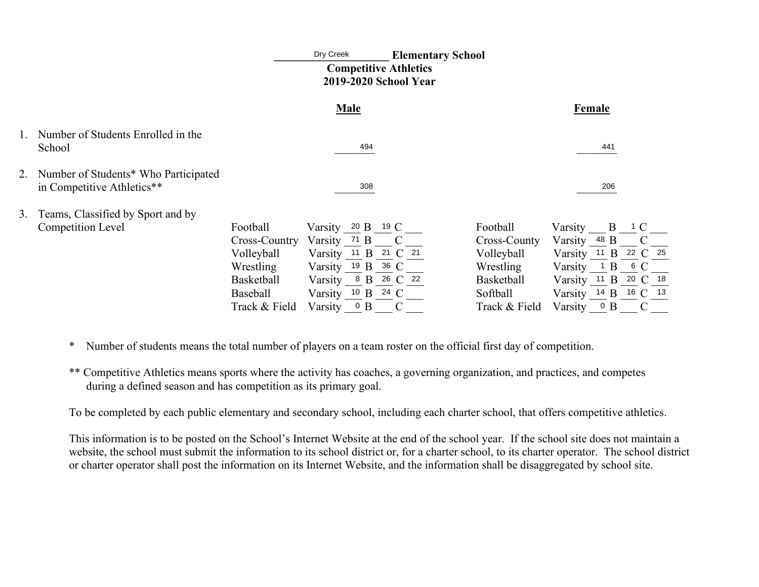|    |                                                                    |                   | Dry Creek<br><b>Elementary School</b><br><b>Competitive Athletics</b><br>2019-2020 School Year |     |                    |                   |              |        |                      |  |
|----|--------------------------------------------------------------------|-------------------|------------------------------------------------------------------------------------------------|-----|--------------------|-------------------|--------------|--------|----------------------|--|
|    |                                                                    |                   | <b>Male</b>                                                                                    |     |                    |                   |              | Female |                      |  |
|    | 1. Number of Students Enrolled in the<br>School                    |                   |                                                                                                | 494 |                    |                   |              | 441    |                      |  |
|    | Number of Students* Who Participated<br>in Competitive Athletics** |                   |                                                                                                | 308 |                    |                   |              | 206    |                      |  |
| 3. | Teams, Classified by Sport and by                                  |                   |                                                                                                |     |                    |                   |              |        |                      |  |
|    | <b>Competition Level</b>                                           | Football          | Varsity 20 B                                                                                   |     | 19 $\rm C$         | Football          | Varsity      | B      | C                    |  |
|    |                                                                    | Cross-Country     | Varsity 71 B                                                                                   |     |                    | Cross-County      | Varsity 48 B |        | C                    |  |
|    |                                                                    | Volleyball        | Varsity <sup>11</sup> B                                                                        |     | 21 $\degree$<br>21 | Volleyball        | Varsity 11   | B      | 22 C 25              |  |
|    |                                                                    | Wrestling         | Varsity 19 B                                                                                   |     | 36 C               | Wrestling         | Varsity      | B      | 6C                   |  |
|    |                                                                    | <b>Basketball</b> | Varsity 8 B 26 C 22                                                                            |     |                    | <b>Basketball</b> | Varsity 11 B |        | $20 \text{ C}$<br>18 |  |
|    |                                                                    | Baseball          | Varsity 10 B 24 C                                                                              |     |                    | Softball          |              |        | Varsity 14 B 16 C 13 |  |
|    |                                                                    | Track & Field     | Varsity                                                                                        | 0 B | $\mathcal{C}$      | Track & Field     | Varsity      | 0 B    | $\mathcal{C}$        |  |

- \* Number of students means the total number of players on a team roster on the official first day of competition.
- \*\* Competitive Athletics means sports where the activity has coaches, a governing organization, and practices, and competes during a defined season and has competition as its primary goal.

To be completed by each public elementary and secondary school, including each charter school, that offers competitive athletics.

This information is to be posted on the School's Internet Website at the end of the school year. If the school site does not maintain a website, the school must submit the information to its school district or, for a charter school, to its charter operator. The school district or charter operator shall post the information on its Internet Website, and the information shall be disaggregated by school site.